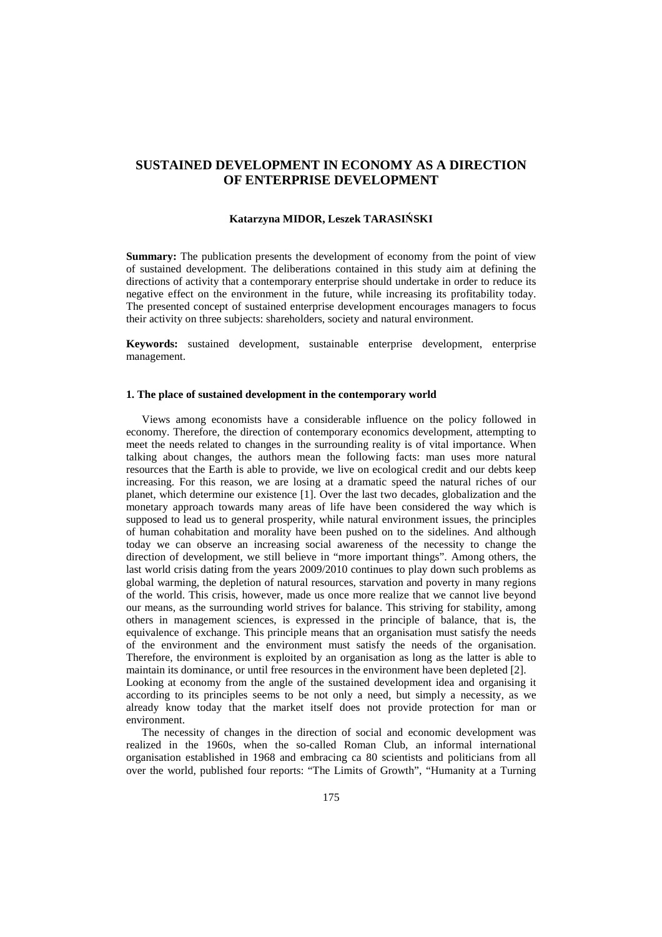# **SUSTAINED DEVELOPMENT IN ECONOMY AS A DIRECTION OF ENTERPRISE DEVELOPMENT**

#### **Katarzyna MIDOR, Leszek TARASIŃSKI**

**Summary:** The publication presents the development of economy from the point of view of sustained development. The deliberations contained in this study aim at defining the directions of activity that a contemporary enterprise should undertake in order to reduce its negative effect on the environment in the future, while increasing its profitability today. The presented concept of sustained enterprise development encourages managers to focus their activity on three subjects: shareholders, society and natural environment.

**Keywords:** sustained development, sustainable enterprise development, enterprise management.

#### **1. The place of sustained development in the contemporary world**

Views among economists have a considerable influence on the policy followed in economy. Therefore, the direction of contemporary economics development, attempting to meet the needs related to changes in the surrounding reality is of vital importance. When talking about changes, the authors mean the following facts: man uses more natural resources that the Earth is able to provide, we live on ecological credit and our debts keep increasing. For this reason, we are losing at a dramatic speed the natural riches of our planet, which determine our existence [1]. Over the last two decades, globalization and the monetary approach towards many areas of life have been considered the way which is supposed to lead us to general prosperity, while natural environment issues, the principles of human cohabitation and morality have been pushed on to the sidelines. And although today we can observe an increasing social awareness of the necessity to change the direction of development, we still believe in "more important things". Among others, the last world crisis dating from the years 2009/2010 continues to play down such problems as global warming, the depletion of natural resources, starvation and poverty in many regions of the world. This crisis, however, made us once more realize that we cannot live beyond our means, as the surrounding world strives for balance. This striving for stability, among others in management sciences, is expressed in the principle of balance, that is, the equivalence of exchange. This principle means that an organisation must satisfy the needs of the environment and the environment must satisfy the needs of the organisation. Therefore, the environment is exploited by an organisation as long as the latter is able to maintain its dominance, or until free resources in the environment have been depleted [2]. Looking at economy from the angle of the sustained development idea and organising it according to its principles seems to be not only a need, but simply a necessity, as we already know today that the market itself does not provide protection for man or environment.

The necessity of changes in the direction of social and economic development was realized in the 1960s, when the so-called Roman Club, an informal international organisation established in 1968 and embracing ca 80 scientists and politicians from all over the world, published four reports: "The Limits of Growth", "Humanity at a Turning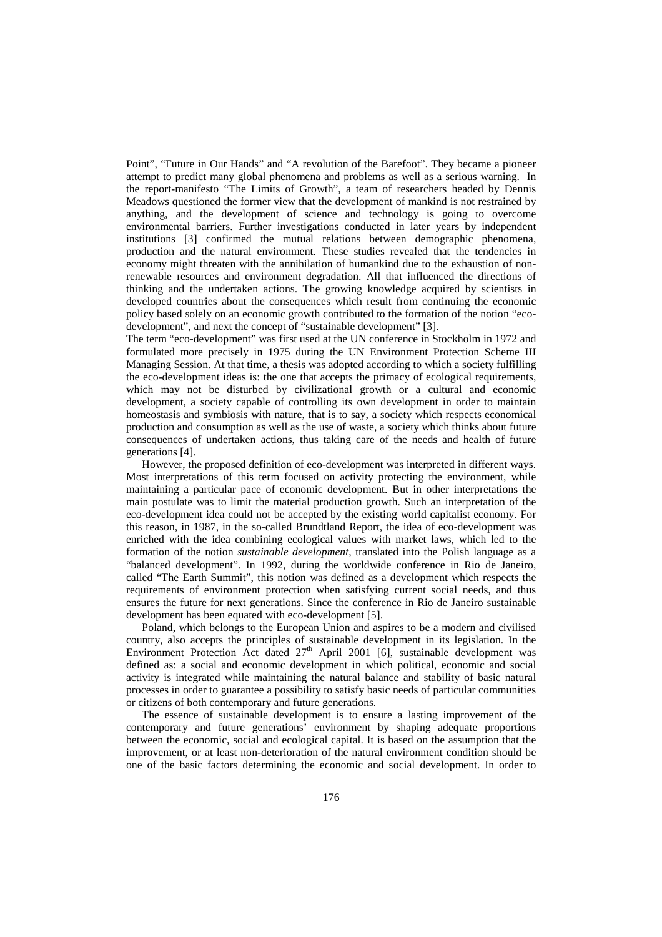Point", "Future in Our Hands" and "A revolution of the Barefoot". They became a pioneer attempt to predict many global phenomena and problems as well as a serious warning. In the report-manifesto "The Limits of Growth", a team of researchers headed by Dennis Meadows questioned the former view that the development of mankind is not restrained by anything, and the development of science and technology is going to overcome environmental barriers. Further investigations conducted in later years by independent institutions [3] confirmed the mutual relations between demographic phenomena, production and the natural environment. These studies revealed that the tendencies in economy might threaten with the annihilation of humankind due to the exhaustion of nonrenewable resources and environment degradation. All that influenced the directions of thinking and the undertaken actions. The growing knowledge acquired by scientists in developed countries about the consequences which result from continuing the economic policy based solely on an economic growth contributed to the formation of the notion "ecodevelopment", and next the concept of "sustainable development" [3].

The term "eco-development" was first used at the UN conference in Stockholm in 1972 and formulated more precisely in 1975 during the UN Environment Protection Scheme III Managing Session. At that time, a thesis was adopted according to which a society fulfilling the eco-development ideas is: the one that accepts the primacy of ecological requirements, which may not be disturbed by civilizational growth or a cultural and economic development, a society capable of controlling its own development in order to maintain homeostasis and symbiosis with nature, that is to say, a society which respects economical production and consumption as well as the use of waste, a society which thinks about future consequences of undertaken actions, thus taking care of the needs and health of future generations [4].

However, the proposed definition of eco-development was interpreted in different ways. Most interpretations of this term focused on activity protecting the environment, while maintaining a particular pace of economic development. But in other interpretations the main postulate was to limit the material production growth. Such an interpretation of the eco-development idea could not be accepted by the existing world capitalist economy. For this reason, in 1987, in the so-called Brundtland Report, the idea of eco-development was enriched with the idea combining ecological values with market laws, which led to the formation of the notion *sustainable development*, translated into the Polish language as a "balanced development". In 1992, during the worldwide conference in Rio de Janeiro, called "The Earth Summit", this notion was defined as a development which respects the requirements of environment protection when satisfying current social needs, and thus ensures the future for next generations. Since the conference in Rio de Janeiro sustainable development has been equated with eco-development [5].

Poland, which belongs to the European Union and aspires to be a modern and civilised country, also accepts the principles of sustainable development in its legislation. In the Environment Protection Act dated  $27<sup>th</sup>$  April 2001 [6], sustainable development was defined as: a social and economic development in which political, economic and social activity is integrated while maintaining the natural balance and stability of basic natural processes in order to guarantee a possibility to satisfy basic needs of particular communities or citizens of both contemporary and future generations.

The essence of sustainable development is to ensure a lasting improvement of the contemporary and future generations' environment by shaping adequate proportions between the economic, social and ecological capital. It is based on the assumption that the improvement, or at least non-deterioration of the natural environment condition should be one of the basic factors determining the economic and social development. In order to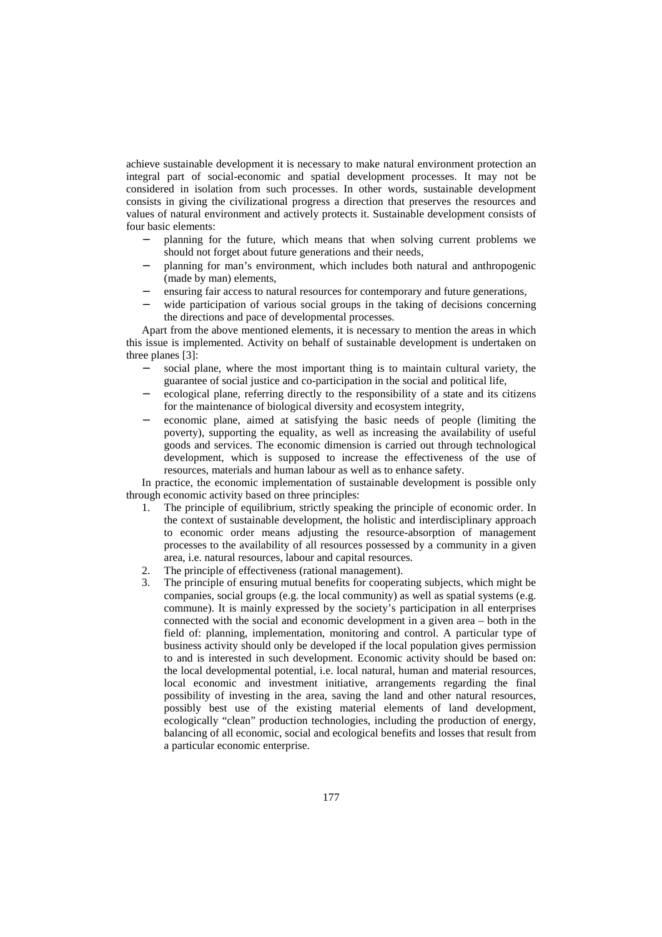achieve sustainable development it is necessary to make natural environment protection an integral part of social-economic and spatial development processes. It may not be considered in isolation from such processes. In other words, sustainable development consists in giving the civilizational progress a direction that preserves the resources and values of natural environment and actively protects it. Sustainable development consists of four basic elements:

- − planning for the future, which means that when solving current problems we should not forget about future generations and their needs,
- − planning for man's environment, which includes both natural and anthropogenic (made by man) elements,
- ensuring fair access to natural resources for contemporary and future generations,
- wide participation of various social groups in the taking of decisions concerning the directions and pace of developmental processes.

Apart from the above mentioned elements, it is necessary to mention the areas in which this issue is implemented. Activity on behalf of sustainable development is undertaken on three planes [3]:

- social plane, where the most important thing is to maintain cultural variety, the guarantee of social justice and co-participation in the social and political life,
- ecological plane, referring directly to the responsibility of a state and its citizens for the maintenance of biological diversity and ecosystem integrity,
- economic plane, aimed at satisfying the basic needs of people (limiting the poverty), supporting the equality, as well as increasing the availability of useful goods and services. The economic dimension is carried out through technological development, which is supposed to increase the effectiveness of the use of resources, materials and human labour as well as to enhance safety.

In practice, the economic implementation of sustainable development is possible only through economic activity based on three principles:

- 1. The principle of equilibrium, strictly speaking the principle of economic order. In the context of sustainable development, the holistic and interdisciplinary approach to economic order means adjusting the resource-absorption of management processes to the availability of all resources possessed by a community in a given area, i.e. natural resources, labour and capital resources.
- 2. The principle of effectiveness (rational management).
- 3. The principle of ensuring mutual benefits for cooperating subjects, which might be companies, social groups (e.g. the local community) as well as spatial systems (e.g. commune). It is mainly expressed by the society's participation in all enterprises connected with the social and economic development in a given area – both in the field of: planning, implementation, monitoring and control. A particular type of business activity should only be developed if the local population gives permission to and is interested in such development. Economic activity should be based on: the local developmental potential, i.e. local natural, human and material resources, local economic and investment initiative, arrangements regarding the final possibility of investing in the area, saving the land and other natural resources, possibly best use of the existing material elements of land development, ecologically "clean" production technologies, including the production of energy, balancing of all economic, social and ecological benefits and losses that result from a particular economic enterprise.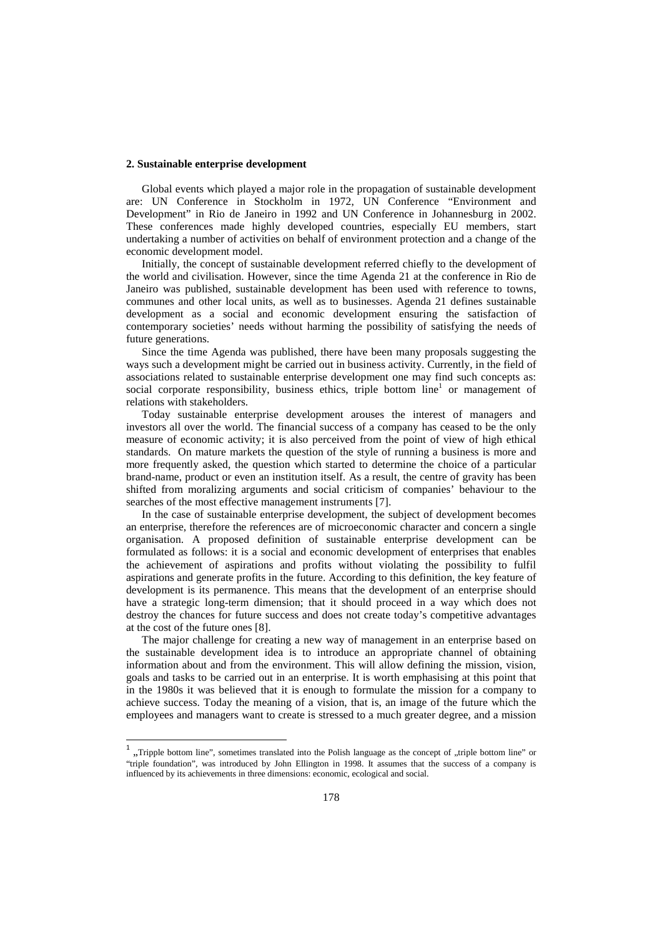#### **2. Sustainable enterprise development**

Global events which played a major role in the propagation of sustainable development are: UN Conference in Stockholm in 1972, UN Conference "Environment and Development" in Rio de Janeiro in 1992 and UN Conference in Johannesburg in 2002. These conferences made highly developed countries, especially EU members, start undertaking a number of activities on behalf of environment protection and a change of the economic development model.

Initially, the concept of sustainable development referred chiefly to the development of the world and civilisation. However, since the time Agenda 21 at the conference in Rio de Janeiro was published, sustainable development has been used with reference to towns, communes and other local units, as well as to businesses. Agenda 21 defines sustainable development as a social and economic development ensuring the satisfaction of contemporary societies' needs without harming the possibility of satisfying the needs of future generations.

Since the time Agenda was published, there have been many proposals suggesting the ways such a development might be carried out in business activity. Currently, in the field of associations related to sustainable enterprise development one may find such concepts as: social corporate responsibility, business ethics, triple bottom line<sup>1</sup> or management of relations with stakeholders.

Today sustainable enterprise development arouses the interest of managers and investors all over the world. The financial success of a company has ceased to be the only measure of economic activity; it is also perceived from the point of view of high ethical standards. On mature markets the question of the style of running a business is more and more frequently asked, the question which started to determine the choice of a particular brand-name, product or even an institution itself. As a result, the centre of gravity has been shifted from moralizing arguments and social criticism of companies' behaviour to the searches of the most effective management instruments [7].

In the case of sustainable enterprise development, the subject of development becomes an enterprise, therefore the references are of microeconomic character and concern a single organisation. A proposed definition of sustainable enterprise development can be formulated as follows: it is a social and economic development of enterprises that enables the achievement of aspirations and profits without violating the possibility to fulfil aspirations and generate profits in the future. According to this definition, the key feature of development is its permanence. This means that the development of an enterprise should have a strategic long-term dimension; that it should proceed in a way which does not destroy the chances for future success and does not create today's competitive advantages at the cost of the future ones [8].

The major challenge for creating a new way of management in an enterprise based on the sustainable development idea is to introduce an appropriate channel of obtaining information about and from the environment. This will allow defining the mission, vision, goals and tasks to be carried out in an enterprise. It is worth emphasising at this point that in the 1980s it was believed that it is enough to formulate the mission for a company to achieve success. Today the meaning of a vision, that is, an image of the future which the employees and managers want to create is stressed to a much greater degree, and a mission

<sup>&</sup>lt;sup>1</sup>, Tripple bottom line", sometimes translated into the Polish language as the concept of "triple bottom line" or "triple foundation", was introduced by John Ellington in 1998. It assumes that the success of a company is influenced by its achievements in three dimensions: economic, ecological and social.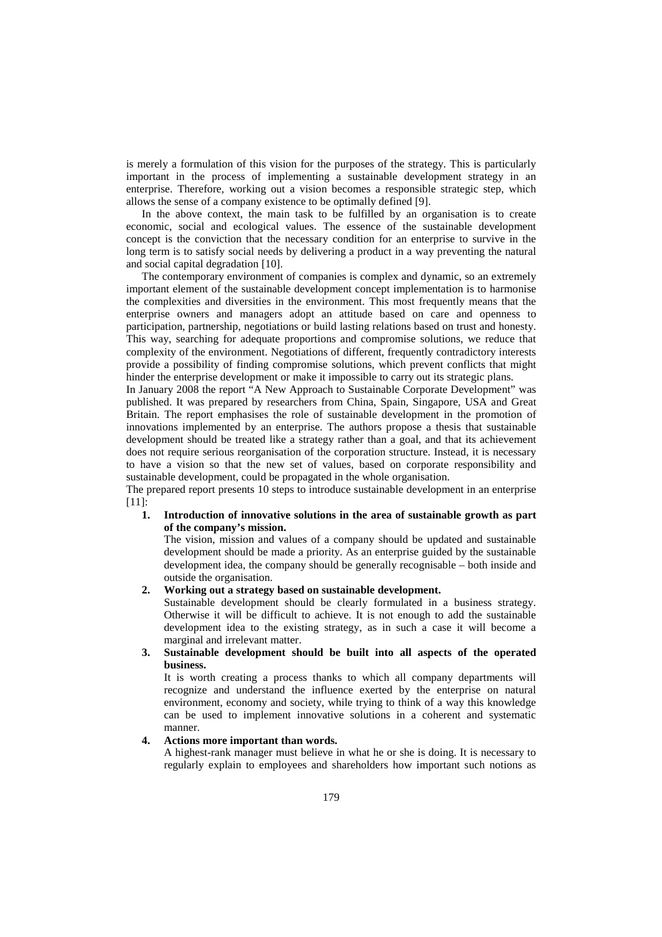is merely a formulation of this vision for the purposes of the strategy. This is particularly important in the process of implementing a sustainable development strategy in an enterprise. Therefore, working out a vision becomes a responsible strategic step, which allows the sense of a company existence to be optimally defined [9].

In the above context, the main task to be fulfilled by an organisation is to create economic, social and ecological values. The essence of the sustainable development concept is the conviction that the necessary condition for an enterprise to survive in the long term is to satisfy social needs by delivering a product in a way preventing the natural and social capital degradation [10].

The contemporary environment of companies is complex and dynamic, so an extremely important element of the sustainable development concept implementation is to harmonise the complexities and diversities in the environment. This most frequently means that the enterprise owners and managers adopt an attitude based on care and openness to participation, partnership, negotiations or build lasting relations based on trust and honesty. This way, searching for adequate proportions and compromise solutions, we reduce that complexity of the environment. Negotiations of different, frequently contradictory interests provide a possibility of finding compromise solutions, which prevent conflicts that might hinder the enterprise development or make it impossible to carry out its strategic plans.

In January 2008 the report "A New Approach to Sustainable Corporate Development" was published. It was prepared by researchers from China, Spain, Singapore, USA and Great Britain. The report emphasises the role of sustainable development in the promotion of innovations implemented by an enterprise. The authors propose a thesis that sustainable development should be treated like a strategy rather than a goal, and that its achievement does not require serious reorganisation of the corporation structure. Instead, it is necessary to have a vision so that the new set of values, based on corporate responsibility and sustainable development, could be propagated in the whole organisation.

The prepared report presents 10 steps to introduce sustainable development in an enterprise [11]:

#### **1. Introduction of innovative solutions in the area of sustainable growth as part of the company's mission.**

The vision, mission and values of a company should be updated and sustainable development should be made a priority. As an enterprise guided by the sustainable development idea, the company should be generally recognisable – both inside and outside the organisation.

### **2. Working out a strategy based on sustainable development.**

Sustainable development should be clearly formulated in a business strategy. Otherwise it will be difficult to achieve. It is not enough to add the sustainable development idea to the existing strategy, as in such a case it will become a marginal and irrelevant matter.

## **3. Sustainable development should be built into all aspects of the operated business.**

It is worth creating a process thanks to which all company departments will recognize and understand the influence exerted by the enterprise on natural environment, economy and society, while trying to think of a way this knowledge can be used to implement innovative solutions in a coherent and systematic manner.

## **4. Actions more important than words.**

A highest-rank manager must believe in what he or she is doing. It is necessary to regularly explain to employees and shareholders how important such notions as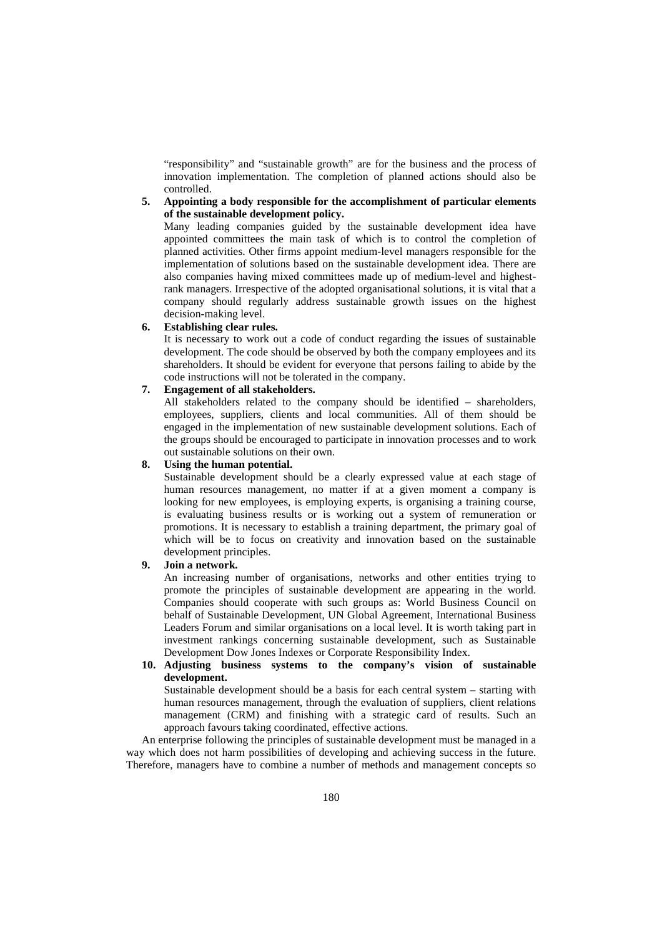"responsibility" and "sustainable growth" are for the business and the process of innovation implementation. The completion of planned actions should also be controlled.

### **5. Appointing a body responsible for the accomplishment of particular elements of the sustainable development policy.**

Many leading companies guided by the sustainable development idea have appointed committees the main task of which is to control the completion of planned activities. Other firms appoint medium-level managers responsible for the implementation of solutions based on the sustainable development idea. There are also companies having mixed committees made up of medium-level and highestrank managers. Irrespective of the adopted organisational solutions, it is vital that a company should regularly address sustainable growth issues on the highest decision-making level.

# **6. Establishing clear rules.**

It is necessary to work out a code of conduct regarding the issues of sustainable development. The code should be observed by both the company employees and its shareholders. It should be evident for everyone that persons failing to abide by the code instructions will not be tolerated in the company.

## **7. Engagement of all stakeholders.**

All stakeholders related to the company should be identified – shareholders, employees, suppliers, clients and local communities. All of them should be engaged in the implementation of new sustainable development solutions. Each of the groups should be encouraged to participate in innovation processes and to work out sustainable solutions on their own.

#### **8. Using the human potential.**

Sustainable development should be a clearly expressed value at each stage of human resources management, no matter if at a given moment a company is looking for new employees, is employing experts, is organising a training course, is evaluating business results or is working out a system of remuneration or promotions. It is necessary to establish a training department, the primary goal of which will be to focus on creativity and innovation based on the sustainable development principles.

## **9. Join a network.**

An increasing number of organisations, networks and other entities trying to promote the principles of sustainable development are appearing in the world. Companies should cooperate with such groups as: World Business Council on behalf of Sustainable Development, UN Global Agreement, International Business Leaders Forum and similar organisations on a local level. It is worth taking part in investment rankings concerning sustainable development, such as Sustainable Development Dow Jones Indexes or Corporate Responsibility Index.

### **10. Adjusting business systems to the company's vision of sustainable development.**

Sustainable development should be a basis for each central system – starting with human resources management, through the evaluation of suppliers, client relations management (CRM) and finishing with a strategic card of results. Such an approach favours taking coordinated, effective actions.

An enterprise following the principles of sustainable development must be managed in a way which does not harm possibilities of developing and achieving success in the future. Therefore, managers have to combine a number of methods and management concepts so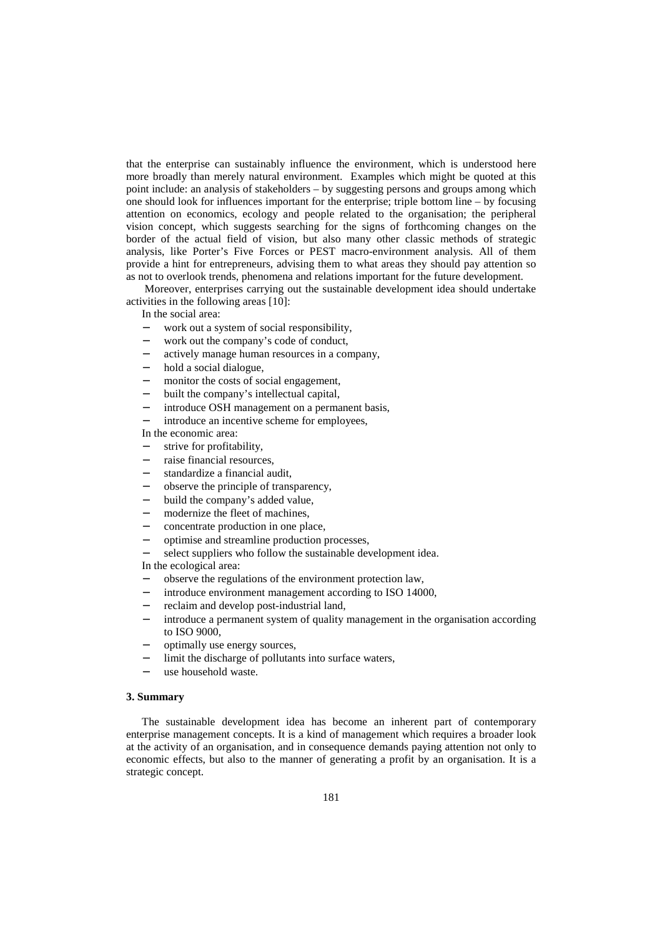that the enterprise can sustainably influence the environment, which is understood here more broadly than merely natural environment. Examples which might be quoted at this point include: an analysis of stakeholders – by suggesting persons and groups among which one should look for influences important for the enterprise; triple bottom line – by focusing attention on economics, ecology and people related to the organisation; the peripheral vision concept, which suggests searching for the signs of forthcoming changes on the border of the actual field of vision, but also many other classic methods of strategic analysis, like Porter's Five Forces or PEST macro-environment analysis. All of them provide a hint for entrepreneurs, advising them to what areas they should pay attention so as not to overlook trends, phenomena and relations important for the future development.

 Moreover, enterprises carrying out the sustainable development idea should undertake activities in the following areas [10]:

In the social area:

- − work out a system of social responsibility,
- work out the company's code of conduct,
- actively manage human resources in a company,
- hold a social dialogue,
- monitor the costs of social engagement,
- built the company's intellectual capital,
- introduce OSH management on a permanent basis,
- introduce an incentive scheme for employees,

In the economic area:

- strive for profitability,
- raise financial resources,
- standardize a financial audit,
- − observe the principle of transparency,
- build the company's added value,
- modernize the fleet of machines,
- concentrate production in one place,
- − optimise and streamline production processes,
- select suppliers who follow the sustainable development idea. In the ecological area:

- − observe the regulations of the environment protection law,
- introduce environment management according to ISO 14000,
- − reclaim and develop post-industrial land,
- introduce a permanent system of quality management in the organisation according to ISO 9000,
- − optimally use energy sources,
- limit the discharge of pollutants into surface waters,
- use household waste.

#### **3. Summary**

The sustainable development idea has become an inherent part of contemporary enterprise management concepts. It is a kind of management which requires a broader look at the activity of an organisation, and in consequence demands paying attention not only to economic effects, but also to the manner of generating a profit by an organisation. It is a strategic concept.